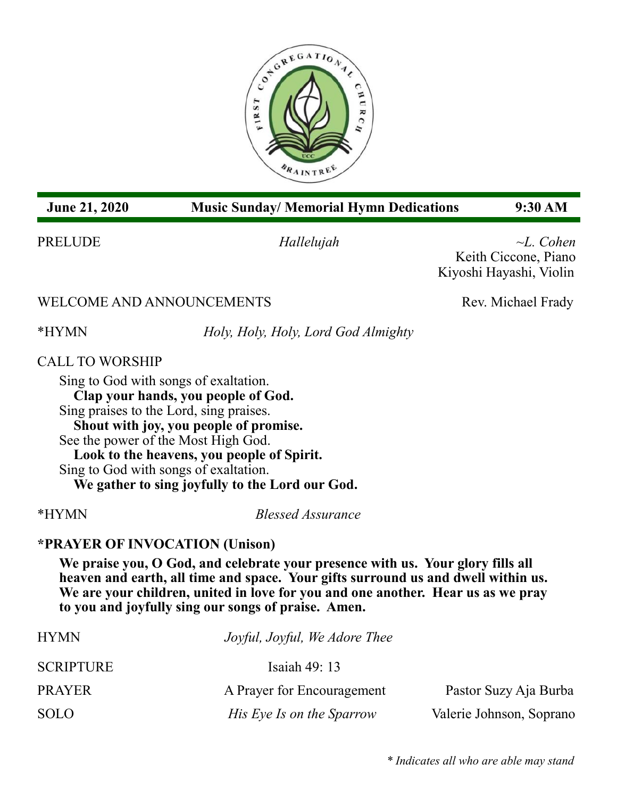

# **June 21, 2020 Music Sunday/ Memorial Hymn Dedications 9:30 AM**

PRELUDE *Hallelujah ~L. Cohen* Keith Ciccone, Piano Kiyoshi Hayashi, Violin

# WELCOME AND ANNOUNCEMENTS Rev. Michael Frady

\*HYMN *Holy, Holy, Holy, Lord God Almighty*

CALL TO WORSHIP

Sing to God with songs of exaltation. **Clap your hands, you people of God.** Sing praises to the Lord, sing praises. **Shout with joy, you people of promise.** See the power of the Most High God. **Look to the heavens, you people of Spirit.** Sing to God with songs of exaltation. **We gather to sing joyfully to the Lord our God.**

\*HYMN *Blessed Assurance*

# **\*PRAYER OF INVOCATION (Unison)**

**We praise you, O God, and celebrate your presence with us. Your glory fills all heaven and earth, all time and space. Your gifts surround us and dwell within us. We are your children, united in love for you and one another. Hear us as we pray to you and joyfully sing our songs of praise. Amen.**

| <b>HYMN</b>      | Joyful, Joyful, We Adore Thee |                          |
|------------------|-------------------------------|--------------------------|
| <b>SCRIPTURE</b> | Isaiah $49:13$                |                          |
| <b>PRAYER</b>    | A Prayer for Encouragement    | Pastor Suzy Aja Burba    |
| <b>SOLO</b>      | His Eye Is on the Sparrow     | Valerie Johnson, Soprano |

*\* Indicates all who are able may stand*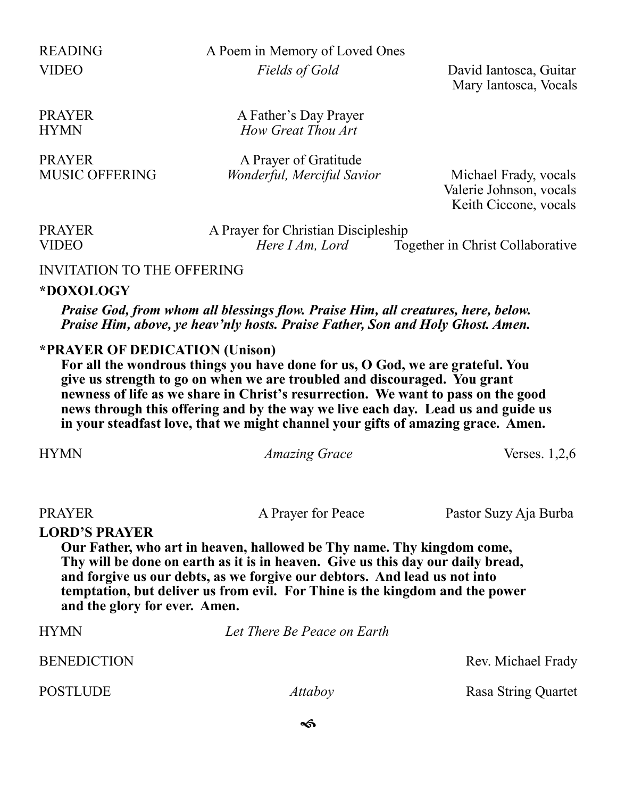READING A Poem in Memory of Loved Ones VIDEO *Fields of Gold* David Iantosca, Guitar

Mary Iantosca, Vocals

PRAYER A Father's Day Prayer HYMN *How Great Thou Art*

PRAYER A Prayer of Gratitude MUSIC OFFERING *Wonderful, Merciful Savior* Michael Frady, vocals

 Valerie Johnson, vocals Keith Ciccone, vocals

| <b>PRAYER</b> |  |
|---------------|--|
| <b>VIDEO</b>  |  |

A Prayer for Christian Discipleship<br>Here I Am. Lord To

Together in Christ Collaborative

#### INVITATION TO THE OFFERING

#### **\*DOXOLOGY**

*Praise God, from whom all blessings flow. Praise Him, all creatures, here, below. Praise Him, above, ye heav'nly hosts. Praise Father, Son and Holy Ghost. Amen.*

### **\*PRAYER OF DEDICATION (Unison)**

**For all the wondrous things you have done for us, O God, we are grateful. You give us strength to go on when we are troubled and discouraged. You grant newness of life as we share in Christ's resurrection. We want to pass on the good news through this offering and by the way we live each day. Lead us and guide us in your steadfast love, that we might channel your gifts of amazing grace. Amen.**

| <i>Amazing Grace</i> | Verses. $1,2,6$ |
|----------------------|-----------------|
|                      |                 |

PRAYER A Prayer for Peace Pastor Suzy Aja Burba

#### **LORD'S PRAYER**

**Our Father, who art in heaven, hallowed be Thy name. Thy kingdom come, Thy will be done on earth as it is in heaven. Give us this day our daily bread, and forgive us our debts, as we forgive our debtors. And lead us not into temptation, but deliver us from evil. For Thine is the kingdom and the power and the glory for ever. Amen.**

HYMN *Let There Be Peace on Earth* BENEDICTION Rev. Michael Frady POSTLUDE *Attaboy* Rasa String Quartet